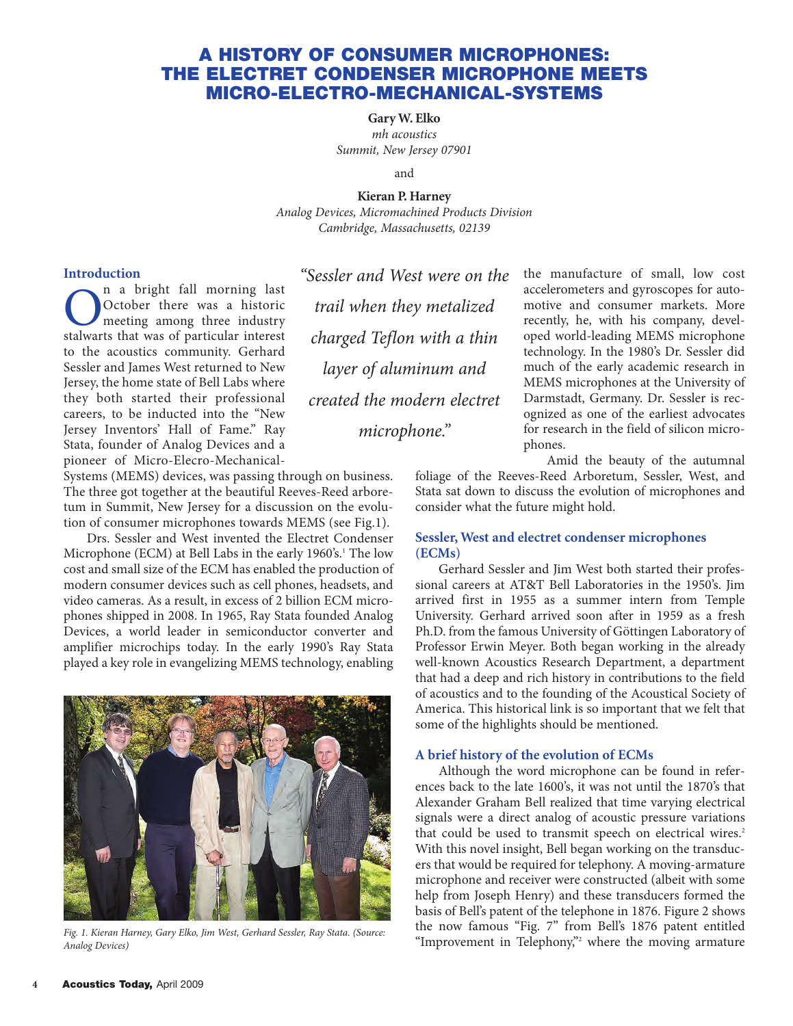### **A HISTORY OF CONSUMER MICROPHONES: THE ELECTRET CONDENSER MICROPHONE MEETS MICRO-ELECTRO-MECHANICAL-SYSTEMS**

**Gary W. Elko** *mh acoustics Summit, New Jersey 07901*

and

**Kieran P. Harney** *Analog Devices, Micromachined Products Division Cambridge, Massachusetts, 02139*

### **Introduction**

On a bright fall morning last October there was a historic meeting among three industry stalwarts that was of particular interest to the acoustics community. Gerhard Sessler and James West returned to New Jersey, the home state of Bell Labs where they both started their professional careers, to be inducted into the "New Jersey Inventors' Hall of Fame." Ray Stata, founder of Analog Devices and a pioneer of Micro-Elecro-Mechanical-

Systems (MEMS) devices, was passing through on business. The three got together at the beautiful Reeves-Reed arboretum in Summit, New Jersey for a discussion on the evolution of consumer microphones towards MEMS (see Fig.1).

Drs. Sessler and West invented the Electret Condenser Microphone (ECM) at Bell Labs in the early 1960's.<sup>1</sup> The low cost and small size of the ECM has enabled the production of modern consumer devices such as cell phones, headsets, and video cameras. As a result, in excess of 2 billion ECM microphones shipped in 2008. In 1965, Ray Stata founded Analog Devices, a world leader in semiconductor converter and amplifier microchips today. In the early 1990's Ray Stata played a key role in evangelizing MEMS technology, enabling



*Fig. 1. Kieran Harney, Gary Elko, Jim West, Gerhard Sessler, Ray Stata. (Source: Analog Devices)*

*"Sessler and West were on the trail when they metalized charged Teflon with a thin layer of aluminum and created the modern electret microphone."*

the manufacture of small, low cost accelerometers and gyroscopes for automotive and consumer markets. More recently, he, with his company, developed world-leading MEMS microphone technology. In the 1980's Dr. Sessler did much of the early academic research in MEMS microphones at the University of Darmstadt, Germany. Dr. Sessler is recognized as one of the earliest advocates for research in the field of silicon microphones.

Amid the beauty of the autumnal

foliage of the Reeves-Reed Arboretum, Sessler, West, and Stata sat down to discuss the evolution of microphones and consider what the future might hold.

### **Sessler, West and electret condenser microphones (ECMs)**

Gerhard Sessler and Jim West both started their professional careers at AT&T Bell Laboratories in the 1950's. Jim arrived first in 1955 as a summer intern from Temple University. Gerhard arrived soon after in 1959 as a fresh Ph.D. from the famous University of Göttingen Laboratory of Professor Erwin Meyer. Both began working in the already well-known Acoustics Research Department, a department that had a deep and rich history in contributions to the field of acoustics and to the founding of the Acoustical Society of America. This historical link is so important that we felt that some of the highlights should be mentioned.

### **A brief history of the evolution of ECMs**

Although the word microphone can be found in references back to the late 1600's, it was not until the 1870's that Alexander Graham Bell realized that time varying electrical signals were a direct analog of acoustic pressure variations that could be used to transmit speech on electrical wires.<sup>2</sup> With this novel insight, Bell began working on the transducers that would be required for telephony. A moving-armature microphone and receiver were constructed (albeit with some help from Joseph Henry) and these transducers formed the basis of Bell's patent of the telephone in 1876. Figure 2 shows the now famous "Fig. 7" from Bell's 1876 patent entitled "Improvement in Telephony,"<sup>2</sup> where the moving armature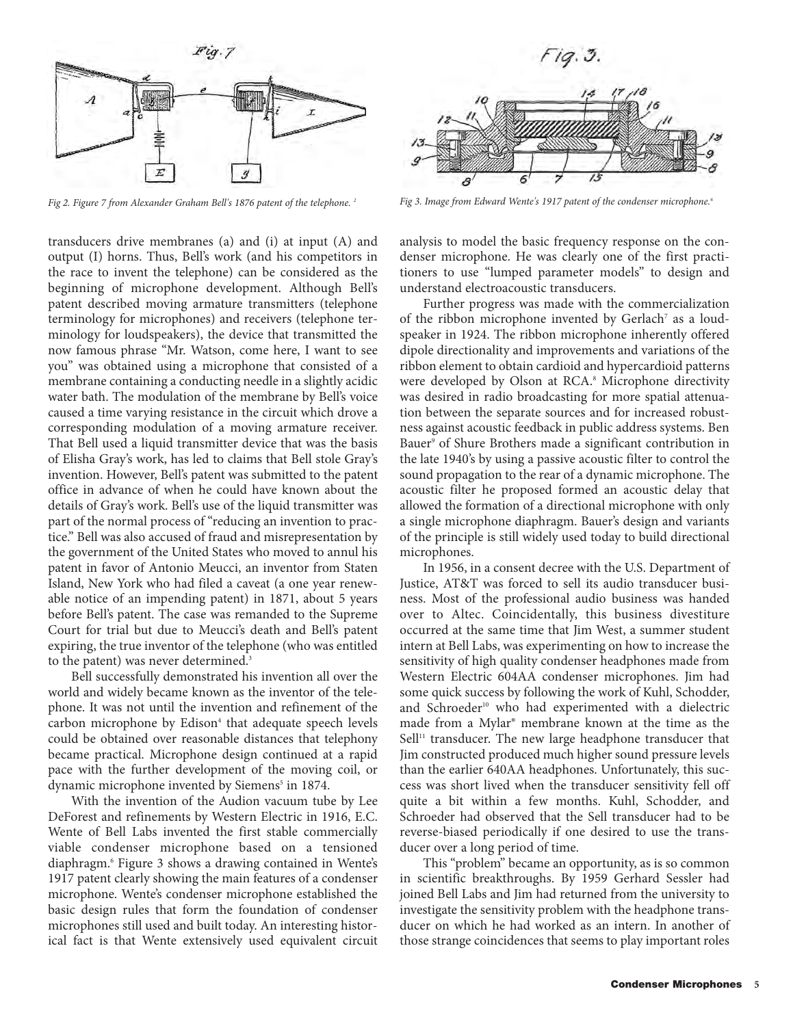

*Fig 2. Figure 7 from Alexander Graham Bell's 1876 patent of the telephone. 2 Fig 3. Image from Edward Wente's 1917 patent of the condenser microphone.6*

transducers drive membranes (a) and (i) at input (A) and output (I) horns. Thus, Bell's work (and his competitors in the race to invent the telephone) can be considered as the beginning of microphone development. Although Bell's patent described moving armature transmitters (telephone terminology for microphones) and receivers (telephone terminology for loudspeakers), the device that transmitted the now famous phrase "Mr. Watson, come here, I want to see you" was obtained using a microphone that consisted of a membrane containing a conducting needle in a slightly acidic water bath. The modulation of the membrane by Bell's voice caused a time varying resistance in the circuit which drove a corresponding modulation of a moving armature receiver. That Bell used a liquid transmitter device that was the basis of Elisha Gray's work, has led to claims that Bell stole Gray's invention. However, Bell's patent was submitted to the patent office in advance of when he could have known about the details of Gray's work. Bell's use of the liquid transmitter was part of the normal process of "reducing an invention to practice." Bell was also accused of fraud and misrepresentation by the government of the United States who moved to annul his patent in favor of Antonio Meucci, an inventor from Staten Island, New York who had filed a caveat (a one year renewable notice of an impending patent) in 1871, about 5 years before Bell's patent. The case was remanded to the Supreme Court for trial but due to Meucci's death and Bell's patent expiring, the true inventor of the telephone (who was entitled to the patent) was never determined.<sup>3</sup>

Bell successfully demonstrated his invention all over the world and widely became known as the inventor of the telephone. It was not until the invention and refinement of the carbon microphone by Edison<sup>4</sup> that adequate speech levels could be obtained over reasonable distances that telephony became practical. Microphone design continued at a rapid pace with the further development of the moving coil, or dynamic microphone invented by Siemens<sup>5</sup> in 1874.

With the invention of the Audion vacuum tube by Lee DeForest and refinements by Western Electric in 1916, E.C. Wente of Bell Labs invented the first stable commercially viable condenser microphone based on a tensioned diaphragm.6 Figure 3 shows a drawing contained in Wente's 1917 patent clearly showing the main features of a condenser microphone. Wente's condenser microphone established the basic design rules that form the foundation of condenser microphones still used and built today. An interesting historical fact is that Wente extensively used equivalent circuit



analysis to model the basic frequency response on the condenser microphone. He was clearly one of the first practitioners to use "lumped parameter models" to design and understand electroacoustic transducers.

Further progress was made with the commercialization of the ribbon microphone invented by Gerlach<sup>7</sup> as a loudspeaker in 1924. The ribbon microphone inherently offered dipole directionality and improvements and variations of the ribbon element to obtain cardioid and hypercardioid patterns were developed by Olson at RCA.<sup>8</sup> Microphone directivity was desired in radio broadcasting for more spatial attenuation between the separate sources and for increased robustness against acoustic feedback in public address systems. Ben Bauer<sup>9</sup> of Shure Brothers made a significant contribution in the late 1940's by using a passive acoustic filter to control the sound propagation to the rear of a dynamic microphone. The acoustic filter he proposed formed an acoustic delay that allowed the formation of a directional microphone with only a single microphone diaphragm. Bauer's design and variants of the principle is still widely used today to build directional microphones.

In 1956, in a consent decree with the U.S. Department of Justice, AT&T was forced to sell its audio transducer business. Most of the professional audio business was handed over to Altec. Coincidentally, this business divestiture occurred at the same time that Jim West, a summer student intern at Bell Labs, was experimenting on how to increase the sensitivity of high quality condenser headphones made from Western Electric 604AA condenser microphones. Jim had some quick success by following the work of Kuhl, Schodder, and Schroeder<sup>10</sup> who had experimented with a dielectric made from a Mylar® membrane known at the time as the Sell<sup>11</sup> transducer. The new large headphone transducer that Jim constructed produced much higher sound pressure levels than the earlier 640AA headphones. Unfortunately, this success was short lived when the transducer sensitivity fell off quite a bit within a few months. Kuhl, Schodder, and Schroeder had observed that the Sell transducer had to be reverse-biased periodically if one desired to use the transducer over a long period of time.

This "problem" became an opportunity, as is so common in scientific breakthroughs. By 1959 Gerhard Sessler had joined Bell Labs and Jim had returned from the university to investigate the sensitivity problem with the headphone transducer on which he had worked as an intern. In another of those strange coincidences that seems to play important roles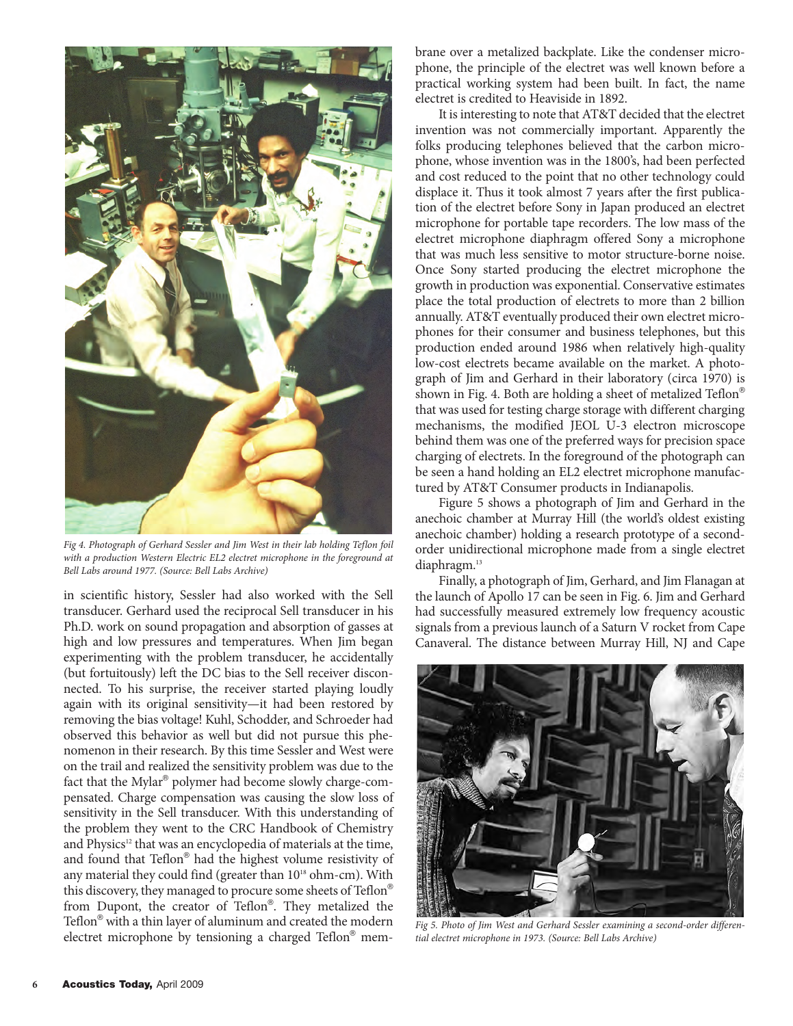

*Fig 4. Photograph of Gerhard Sessler and Jim West in their lab holding Teflon foil with a production Western Electric EL2 electret microphone in the foreground at Bell Labs around 1977. (Source: Bell Labs Archive)*

in scientific history, Sessler had also worked with the Sell transducer. Gerhard used the reciprocal Sell transducer in his Ph.D. work on sound propagation and absorption of gasses at high and low pressures and temperatures. When Jim began experimenting with the problem transducer, he accidentally (but fortuitously) left the DC bias to the Sell receiver disconnected. To his surprise, the receiver started playing loudly again with its original sensitivity—it had been restored by removing the bias voltage! Kuhl, Schodder, and Schroeder had observed this behavior as well but did not pursue this phenomenon in their research. By this time Sessler and West were on the trail and realized the sensitivity problem was due to the fact that the Mylar® polymer had become slowly charge-compensated. Charge compensation was causing the slow loss of sensitivity in the Sell transducer. With this understanding of the problem they went to the CRC Handbook of Chemistry and Physics<sup>12</sup> that was an encyclopedia of materials at the time, and found that Teflon® had the highest volume resistivity of any material they could find (greater than  $10^{18}$  ohm-cm). With this discovery, they managed to procure some sheets of Teflon® from Dupont, the creator of Teflon®. They metalized the Teflon® with a thin layer of aluminum and created the modern electret microphone by tensioning a charged Teflon® membrane over a metalized backplate. Like the condenser microphone, the principle of the electret was well known before a practical working system had been built. In fact, the name electret is credited to Heaviside in 1892.

It is interesting to note that AT&T decided that the electret invention was not commercially important. Apparently the folks producing telephones believed that the carbon microphone, whose invention was in the 1800's, had been perfected and cost reduced to the point that no other technology could displace it. Thus it took almost 7 years after the first publication of the electret before Sony in Japan produced an electret microphone for portable tape recorders. The low mass of the electret microphone diaphragm offered Sony a microphone that was much less sensitive to motor structure-borne noise. Once Sony started producing the electret microphone the growth in production was exponential. Conservative estimates place the total production of electrets to more than 2 billion annually. AT&T eventually produced their own electret microphones for their consumer and business telephones, but this production ended around 1986 when relatively high-quality low-cost electrets became available on the market. A photograph of Jim and Gerhard in their laboratory (circa 1970) is shown in Fig. 4. Both are holding a sheet of metalized Teflon® that was used for testing charge storage with different charging mechanisms, the modified JEOL U-3 electron microscope behind them was one of the preferred ways for precision space charging of electrets. In the foreground of the photograph can be seen a hand holding an EL2 electret microphone manufactured by AT&T Consumer products in Indianapolis.

Figure 5 shows a photograph of Jim and Gerhard in the anechoic chamber at Murray Hill (the world's oldest existing anechoic chamber) holding a research prototype of a secondorder unidirectional microphone made from a single electret diaphragm.<sup>13</sup>

Finally, a photograph of Jim, Gerhard, and Jim Flanagan at the launch of Apollo 17 can be seen in Fig. 6. Jim and Gerhard had successfully measured extremely low frequency acoustic signals from a previous launch of a Saturn V rocket from Cape Canaveral. The distance between Murray Hill, NJ and Cape



*Fig 5. Photo of Jim West and Gerhard Sessler examining a second-order differential electret microphone in 1973. (Source: Bell Labs Archive)*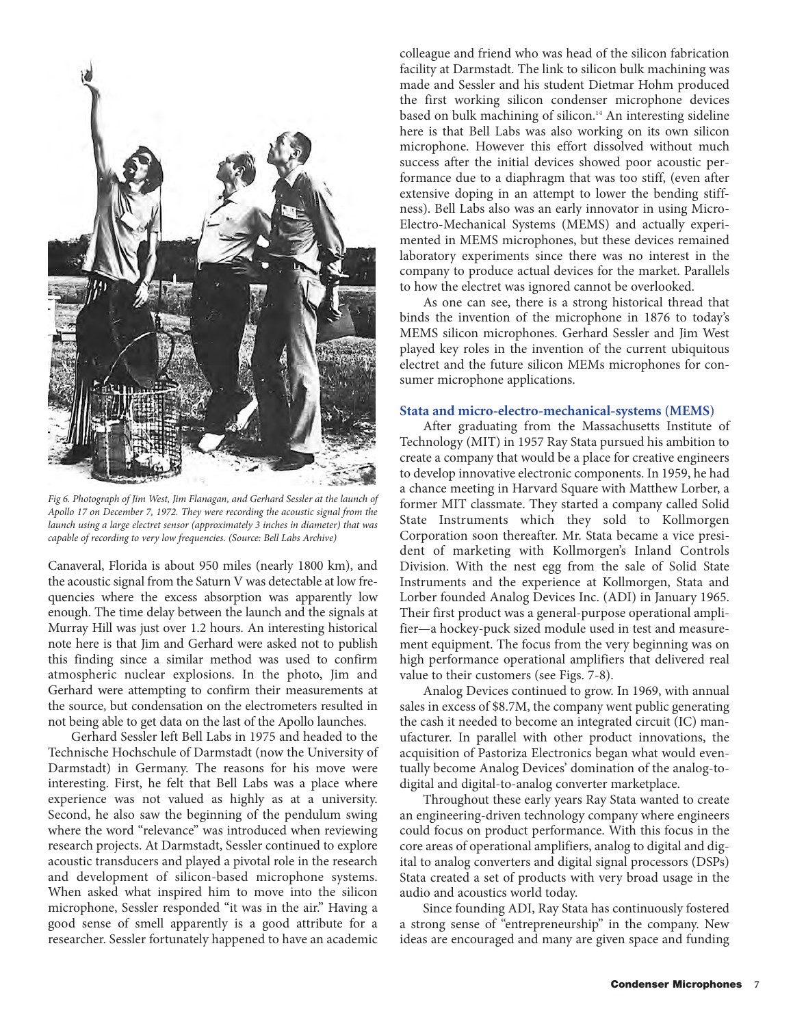

*Fig 6. Photograph of Jim West, Jim Flanagan, and Gerhard Sessler at the launch of Apollo 17 on December 7, 1972. They were recording the acoustic signal from the launch using a large electret sensor (approximately 3 inches in diameter) that was capable of recording to very low frequencies. (Source: Bell Labs Archive)*

Canaveral, Florida is about 950 miles (nearly 1800 km), and the acoustic signal from the Saturn V was detectable at low frequencies where the excess absorption was apparently low enough. The time delay between the launch and the signals at Murray Hill was just over 1.2 hours. An interesting historical note here is that Jim and Gerhard were asked not to publish this finding since a similar method was used to confirm atmospheric nuclear explosions. In the photo, Jim and Gerhard were attempting to confirm their measurements at the source, but condensation on the electrometers resulted in not being able to get data on the last of the Apollo launches.

Gerhard Sessler left Bell Labs in 1975 and headed to the Technische Hochschule of Darmstadt (now the University of Darmstadt) in Germany. The reasons for his move were interesting. First, he felt that Bell Labs was a place where experience was not valued as highly as at a university. Second, he also saw the beginning of the pendulum swing where the word "relevance" was introduced when reviewing research projects. At Darmstadt, Sessler continued to explore acoustic transducers and played a pivotal role in the research and development of silicon-based microphone systems. When asked what inspired him to move into the silicon microphone, Sessler responded "it was in the air." Having a good sense of smell apparently is a good attribute for a researcher. Sessler fortunately happened to have an academic colleague and friend who was head of the silicon fabrication facility at Darmstadt. The link to silicon bulk machining was made and Sessler and his student Dietmar Hohm produced the first working silicon condenser microphone devices based on bulk machining of silicon.<sup>14</sup> An interesting sideline here is that Bell Labs was also working on its own silicon microphone. However this effort dissolved without much success after the initial devices showed poor acoustic performance due to a diaphragm that was too stiff, (even after extensive doping in an attempt to lower the bending stiffness). Bell Labs also was an early innovator in using Micro-Electro-Mechanical Systems (MEMS) and actually experimented in MEMS microphones, but these devices remained laboratory experiments since there was no interest in the company to produce actual devices for the market. Parallels to how the electret was ignored cannot be overlooked.

As one can see, there is a strong historical thread that binds the invention of the microphone in 1876 to today's MEMS silicon microphones. Gerhard Sessler and Jim West played key roles in the invention of the current ubiquitous electret and the future silicon MEMs microphones for consumer microphone applications.

### **Stata and micro-electro-mechanical-systems (MEMS)**

After graduating from the Massachusetts Institute of Technology (MIT) in 1957 Ray Stata pursued his ambition to create a company that would be a place for creative engineers to develop innovative electronic components. In 1959, he had a chance meeting in Harvard Square with Matthew Lorber, a former MIT classmate. They started a company called Solid State Instruments which they sold to Kollmorgen Corporation soon thereafter. Mr. Stata became a vice president of marketing with Kollmorgen's Inland Controls Division. With the nest egg from the sale of Solid State Instruments and the experience at Kollmorgen, Stata and Lorber founded Analog Devices Inc. (ADI) in January 1965. Their first product was a general-purpose operational amplifier—a hockey-puck sized module used in test and measurement equipment. The focus from the very beginning was on high performance operational amplifiers that delivered real value to their customers (see Figs. 7-8).

Analog Devices continued to grow. In 1969, with annual sales in excess of \$8.7M, the company went public generating the cash it needed to become an integrated circuit (IC) manufacturer. In parallel with other product innovations, the acquisition of Pastoriza Electronics began what would eventually become Analog Devices' domination of the analog-todigital and digital-to-analog converter marketplace.

Throughout these early years Ray Stata wanted to create an engineering-driven technology company where engineers could focus on product performance. With this focus in the core areas of operational amplifiers, analog to digital and digital to analog converters and digital signal processors (DSPs) Stata created a set of products with very broad usage in the audio and acoustics world today.

Since founding ADI, Ray Stata has continuously fostered a strong sense of "entrepreneurship" in the company. New ideas are encouraged and many are given space and funding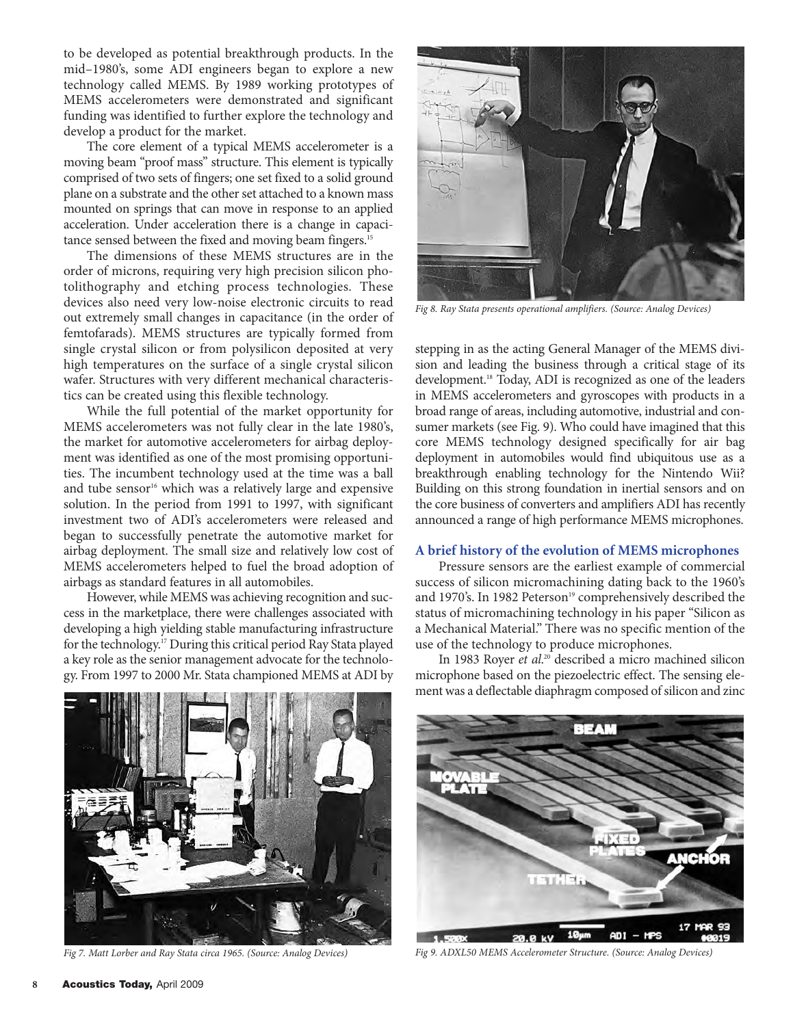to be developed as potential breakthrough products. In the mid–1980's, some ADI engineers began to explore a new technology called MEMS. By 1989 working prototypes of MEMS accelerometers were demonstrated and significant funding was identified to further explore the technology and develop a product for the market.

The core element of a typical MEMS accelerometer is a moving beam "proof mass" structure. This element is typically comprised of two sets of fingers; one set fixed to a solid ground plane on a substrate and the other set attached to a known mass mounted on springs that can move in response to an applied acceleration. Under acceleration there is a change in capacitance sensed between the fixed and moving beam fingers.<sup>15</sup>

The dimensions of these MEMS structures are in the order of microns, requiring very high precision silicon photolithography and etching process technologies. These devices also need very low-noise electronic circuits to read out extremely small changes in capacitance (in the order of femtofarads). MEMS structures are typically formed from single crystal silicon or from polysilicon deposited at very high temperatures on the surface of a single crystal silicon wafer. Structures with very different mechanical characteristics can be created using this flexible technology.

While the full potential of the market opportunity for MEMS accelerometers was not fully clear in the late 1980's, the market for automotive accelerometers for airbag deployment was identified as one of the most promising opportunities. The incumbent technology used at the time was a ball and tube sensor<sup>16</sup> which was a relatively large and expensive solution. In the period from 1991 to 1997, with significant investment two of ADI's accelerometers were released and began to successfully penetrate the automotive market for airbag deployment. The small size and relatively low cost of MEMS accelerometers helped to fuel the broad adoption of airbags as standard features in all automobiles.

However, while MEMS was achieving recognition and success in the marketplace, there were challenges associated with developing a high yielding stable manufacturing infrastructure for the technology.17 During this critical period Ray Stata played a key role as the senior management advocate for the technology. From 1997 to 2000 Mr. Stata championed MEMS at ADI by



*Fig 8. Ray Stata presents operational amplifiers. (Source: Analog Devices)*

stepping in as the acting General Manager of the MEMS division and leading the business through a critical stage of its development.<sup>18</sup> Today, ADI is recognized as one of the leaders in MEMS accelerometers and gyroscopes with products in a broad range of areas, including automotive, industrial and consumer markets (see Fig. 9). Who could have imagined that this core MEMS technology designed specifically for air bag deployment in automobiles would find ubiquitous use as a breakthrough enabling technology for the Nintendo Wii? Building on this strong foundation in inertial sensors and on the core business of converters and amplifiers ADI has recently announced a range of high performance MEMS microphones.

### **A brief history of the evolution of MEMS microphones**

Pressure sensors are the earliest example of commercial success of silicon micromachining dating back to the 1960's and 1970's. In 1982 Peterson<sup>19</sup> comprehensively described the status of micromachining technology in his paper "Silicon as a Mechanical Material." There was no specific mention of the use of the technology to produce microphones.

In 1983 Royer *et al*. <sup>20</sup> described a micro machined silicon microphone based on the piezoelectric effect. The sensing element was a deflectable diaphragm composed of silicon and zinc



*Fig 7. Matt Lorber and Ray Stata circa 1965. (Source: Analog Devices)*



*Fig 9. ADXL50 MEMS Accelerometer Structure. (Source: Analog Devices)*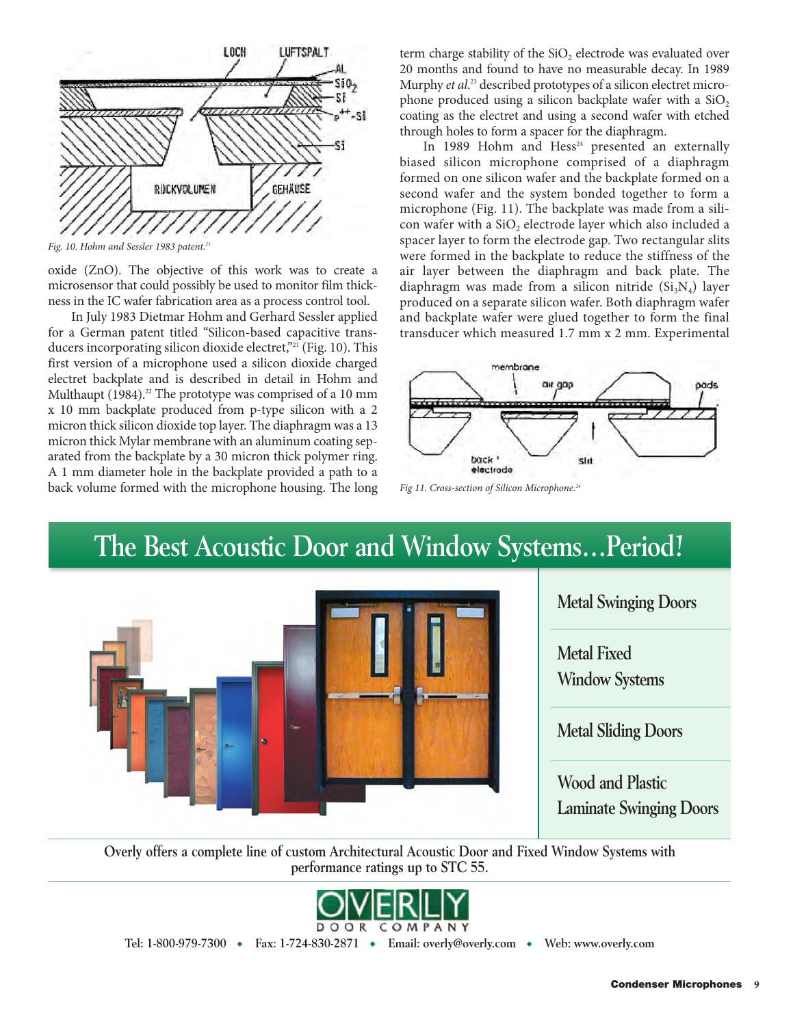

*Fig. 10. Hohm and Sessler 1983 patent.21*

oxide (ZnO). The objective of this work was to create a microsensor that could possibly be used to monitor film thickness in the IC wafer fabrication area as a process control tool.

In July 1983 Dietmar Hohm and Gerhard Sessler applied for a German patent titled "Silicon-based capacitive transducers incorporating silicon dioxide electret,"<sup>21</sup> (Fig. 10). This first version of a microphone used a silicon dioxide charged electret backplate and is described in detail in Hohm and Multhaupt  $(1984).^{22}$  The prototype was comprised of a 10 mm x 10 mm backplate produced from p-type silicon with a 2 micron thick silicon dioxide top layer. The diaphragm was a 13 micron thick Mylar membrane with an aluminum coating separated from the backplate by a 30 micron thick polymer ring. A 1 mm diameter hole in the backplate provided a path to a back volume formed with the microphone housing. The long term charge stability of the SiO<sub>2</sub> electrode was evaluated over 20 months and found to have no measurable decay. In 1989 Murphy *et al*. <sup>23</sup> described prototypes of a silicon electret microphone produced using a silicon backplate wafer with a  $SiO<sub>2</sub>$ coating as the electret and using a second wafer with etched through holes to form a spacer for the diaphragm.

In 1989 Hohm and Hess $24$  presented an externally biased silicon microphone comprised of a diaphragm formed on one silicon wafer and the backplate formed on a second wafer and the system bonded together to form a microphone (Fig. 11). The backplate was made from a silicon wafer with a SiO<sub>2</sub> electrode layer which also included a spacer layer to form the electrode gap. Two rectangular slits were formed in the backplate to reduce the stiffness of the air layer between the diaphragm and back plate. The diaphragm was made from a silicon nitride  $(Si<sub>3</sub>N<sub>4</sub>)$  layer produced on a separate silicon wafer. Both diaphragm wafer and backplate wafer were glued together to form the final transducer which measured 1.7 mm x 2 mm. Experimental



*Fig 11. Cross-section of Silicon Microphone.24*

# **The Best Acoustic Door and Window Systems…Period!**





**Overly offers a complete line of custom Architectural Acoustic Door and Fixed Window Systems with performance ratings up to STC 55.**



**Tel: 1-800-979-7300** ◆ **Fax: 1-724-830-2871** ◆ **Email: overly@overly.com** ◆ **Web: www.overly.com**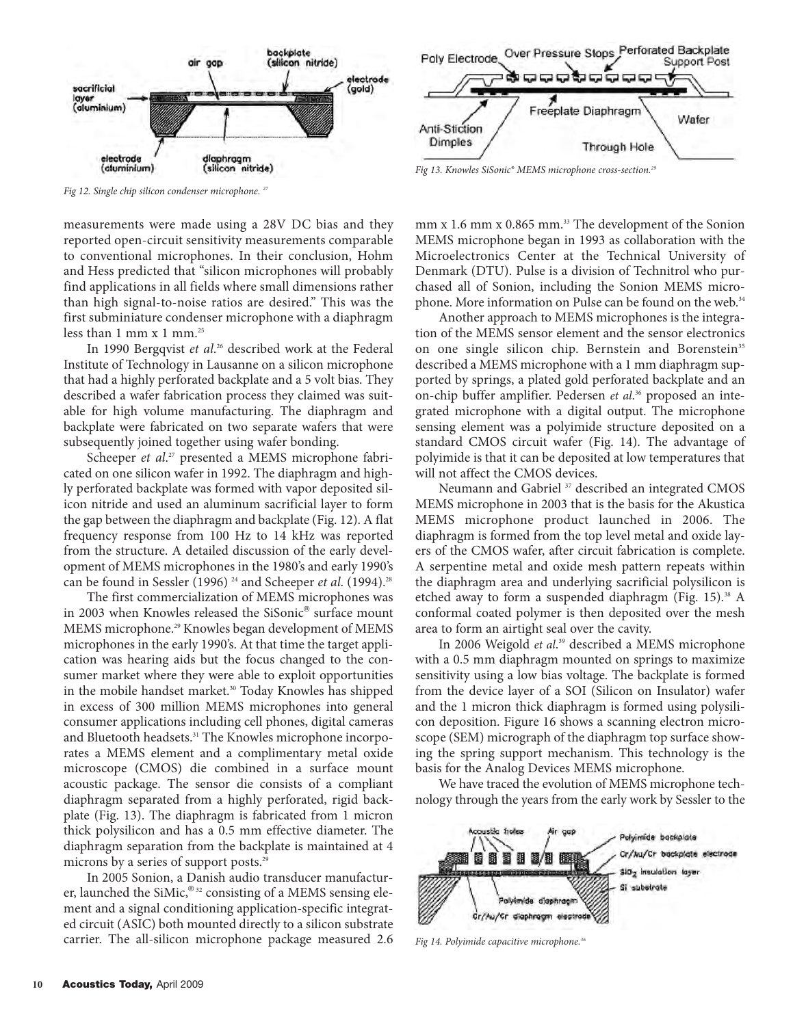

*Fig 12. Single chip silicon condenser microphone. 27*

measurements were made using a 28V DC bias and they reported open-circuit sensitivity measurements comparable to conventional microphones. In their conclusion, Hohm and Hess predicted that "silicon microphones will probably find applications in all fields where small dimensions rather than high signal-to-noise ratios are desired." This was the first subminiature condenser microphone with a diaphragm less than  $1 \text{ mm} \times 1 \text{ mm}^{25}$ 

In 1990 Bergqvist *et al*. <sup>26</sup> described work at the Federal Institute of Technology in Lausanne on a silicon microphone that had a highly perforated backplate and a 5 volt bias. They described a wafer fabrication process they claimed was suitable for high volume manufacturing. The diaphragm and backplate were fabricated on two separate wafers that were subsequently joined together using wafer bonding.

Scheeper *et al*. <sup>27</sup> presented a MEMS microphone fabricated on one silicon wafer in 1992. The diaphragm and highly perforated backplate was formed with vapor deposited silicon nitride and used an aluminum sacrificial layer to form the gap between the diaphragm and backplate (Fig. 12). A flat frequency response from 100 Hz to 14 kHz was reported from the structure. A detailed discussion of the early development of MEMS microphones in the 1980's and early 1990's can be found in Sessler (1996)<sup>24</sup> and Scheeper *et al.* (1994).<sup>28</sup>

The first commercialization of MEMS microphones was in 2003 when Knowles released the SiSonic® surface mount MEMS microphone.<sup>29</sup> Knowles began development of MEMS microphones in the early 1990's. At that time the target application was hearing aids but the focus changed to the consumer market where they were able to exploit opportunities in the mobile handset market.<sup>30</sup> Today Knowles has shipped in excess of 300 million MEMS microphones into general consumer applications including cell phones, digital cameras and Bluetooth headsets.<sup>31</sup> The Knowles microphone incorporates a MEMS element and a complimentary metal oxide microscope (CMOS) die combined in a surface mount acoustic package. The sensor die consists of a compliant diaphragm separated from a highly perforated, rigid backplate (Fig. 13). The diaphragm is fabricated from 1 micron thick polysilicon and has a 0.5 mm effective diameter. The diaphragm separation from the backplate is maintained at 4 microns by a series of support posts.<sup>29</sup>

In 2005 Sonion, a Danish audio transducer manufacturer, launched the SiMic, $^{\circledR_{32}}$  consisting of a MEMS sensing element and a signal conditioning application-specific integrated circuit (ASIC) both mounted directly to a silicon substrate carrier. The all-silicon microphone package measured 2.6



*Fig 13. Knowles SiSonic® MEMS microphone cross-section.29*

mm x 1.6 mm x 0.865 mm.<sup>33</sup> The development of the Sonion MEMS microphone began in 1993 as collaboration with the Microelectronics Center at the Technical University of Denmark (DTU). Pulse is a division of Technitrol who purchased all of Sonion, including the Sonion MEMS microphone. More information on Pulse can be found on the web.<sup>34</sup>

Another approach to MEMS microphones is the integration of the MEMS sensor element and the sensor electronics on one single silicon chip. Bernstein and Borenstein<sup>35</sup> described a MEMS microphone with a 1 mm diaphragm supported by springs, a plated gold perforated backplate and an on-chip buffer amplifier. Pedersen *et al*. <sup>36</sup> proposed an integrated microphone with a digital output. The microphone sensing element was a polyimide structure deposited on a standard CMOS circuit wafer (Fig. 14). The advantage of polyimide is that it can be deposited at low temperatures that will not affect the CMOS devices.

Neumann and Gabriel<sup>37</sup> described an integrated CMOS MEMS microphone in 2003 that is the basis for the Akustica MEMS microphone product launched in 2006. The diaphragm is formed from the top level metal and oxide layers of the CMOS wafer, after circuit fabrication is complete. A serpentine metal and oxide mesh pattern repeats within the diaphragm area and underlying sacrificial polysilicon is etched away to form a suspended diaphragm (Fig. 15).<sup>38</sup> A conformal coated polymer is then deposited over the mesh area to form an airtight seal over the cavity.

In 2006 Weigold *et al*. <sup>39</sup> described a MEMS microphone with a 0.5 mm diaphragm mounted on springs to maximize sensitivity using a low bias voltage. The backplate is formed from the device layer of a SOI (Silicon on Insulator) wafer and the 1 micron thick diaphragm is formed using polysilicon deposition. Figure 16 shows a scanning electron microscope (SEM) micrograph of the diaphragm top surface showing the spring support mechanism. This technology is the basis for the Analog Devices MEMS microphone.

We have traced the evolution of MEMS microphone technology through the years from the early work by Sessler to the



*Fig 14. Polyimide capacitive microphone.36*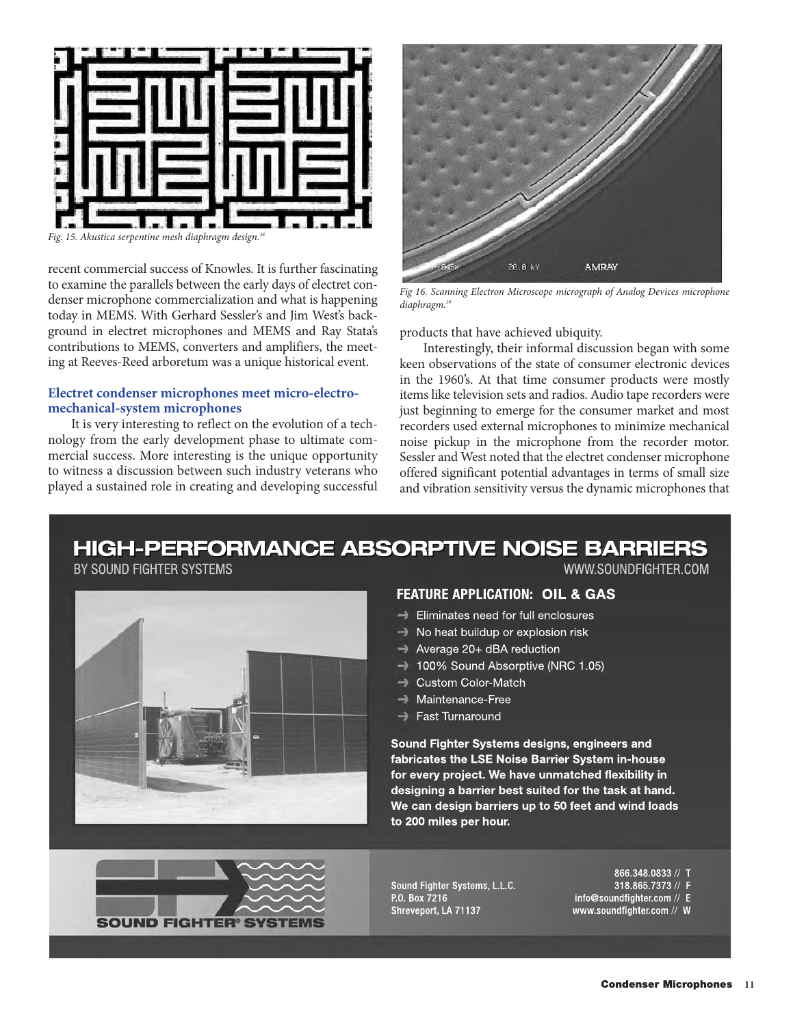

*Fig. 15. Akustica serpentine mesh diaphragm design.38*

recent commercial success of Knowles. It is further fascinating to examine the parallels between the early days of electret condenser microphone commercialization and what is happening today in MEMS. With Gerhard Sessler's and Jim West's background in electret microphones and MEMS and Ray Stata's contributions to MEMS, converters and amplifiers, the meeting at Reeves-Reed arboretum was a unique historical event.

### **Electret condenser microphones meet micro-electromechanical-system microphones**

It is very interesting to reflect on the evolution of a technology from the early development phase to ultimate commercial success. More interesting is the unique opportunity to witness a discussion between such industry veterans who played a sustained role in creating and developing successful



*Fig 16. Scanning Electron Microscope micrograph of Analog Devices microphone diaphragm.39*

products that have achieved ubiquity.

Interestingly, their informal discussion began with some keen observations of the state of consumer electronic devices in the 1960's. At that time consumer products were mostly items like television sets and radios. Audio tape recorders were just beginning to emerge for the consumer market and most recorders used external microphones to minimize mechanical noise pickup in the microphone from the recorder motor. Sessler and West noted that the electret condenser microphone offered significant potential advantages in terms of small size and vibration sensitivity versus the dynamic microphones that

## **HIGH-PERFORMANCE ABSORPTIVE NOISE BARRIERS**

BY SOUND FIGHTER SYSTEMS





- $\rightarrow$  Eliminates need for full enclosures
- No heat buildup or explosion risk
- $\rightarrow$  Average 20+ dBA reduction
- 100% Sound Absorptive (NRC 1.05)
- **Custom Color-Match**
- Maintenance-Free
- Fast Turnaround

Sound Fighter Systems designs, engineers and fabricates the LSE Noise Barrier System in-house for every project. We have unmatched flexibility in designing a barrier best suited for the task at hand. We can design barriers up to 50 feet and wind loads to 200 miles per hour.



Sound Fighter Systems, L.L.C. P.O. Box 7216 Shreveport, LA 71137

866.348.0833 // T 318.865.7373 // F info@soundfighter.com // E www.soundfighter.com // W

WWW.SOUNDFIGHTER.COM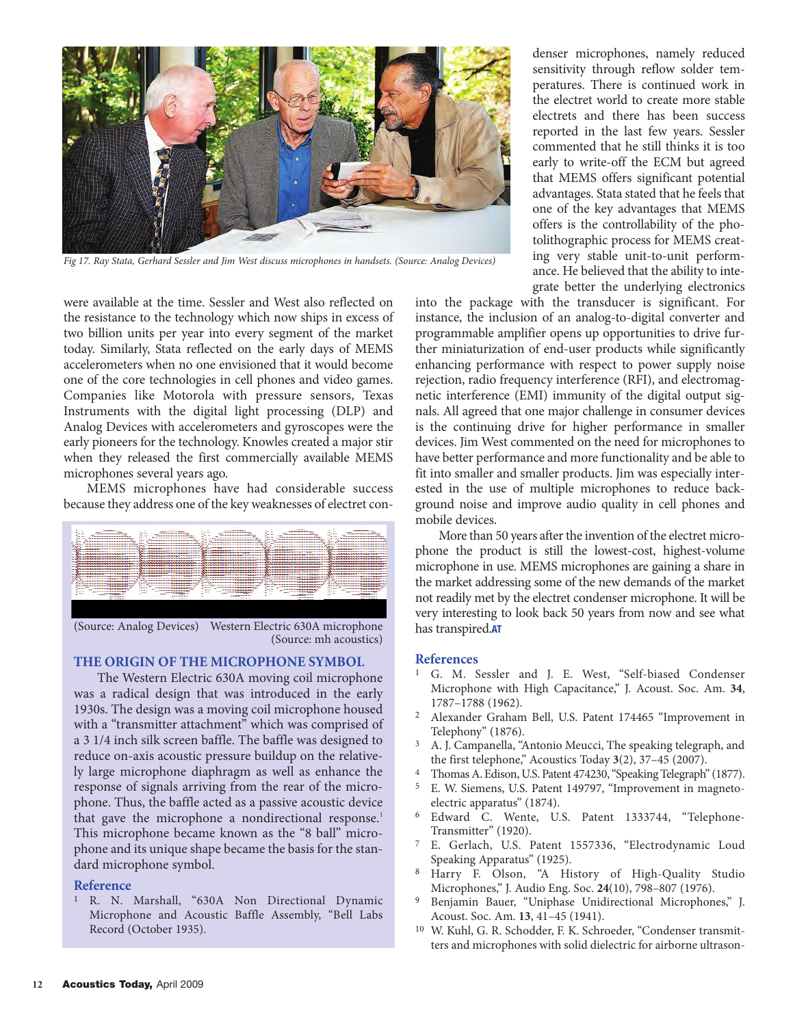

*Fig 17. Ray Stata, Gerhard Sessler and Jim West discuss microphones in handsets. (Source: Analog Devices)*

were available at the time. Sessler and West also reflected on the resistance to the technology which now ships in excess of two billion units per year into every segment of the market today. Similarly, Stata reflected on the early days of MEMS accelerometers when no one envisioned that it would become one of the core technologies in cell phones and video games. Companies like Motorola with pressure sensors, Texas Instruments with the digital light processing (DLP) and Analog Devices with accelerometers and gyroscopes were the early pioneers for the technology. Knowles created a major stir when they released the first commercially available MEMS microphones several years ago.

MEMS microphones have had considerable success because they address one of the key weaknesses of electret con-



(Source: Analog Devices) Western Electric 630A microphone (Source: mh acoustics)

### **THE ORIGIN OF THE MICROPHONE SYMBOL**

The Western Electric 630A moving coil microphone was a radical design that was introduced in the early 1930s. The design was a moving coil microphone housed with a "transmitter attachment" which was comprised of a 3 1/4 inch silk screen baffle. The baffle was designed to reduce on-axis acoustic pressure buildup on the relatively large microphone diaphragm as well as enhance the response of signals arriving from the rear of the microphone. Thus, the baffle acted as a passive acoustic device that gave the microphone a nondirectional response.<sup>1</sup> This microphone became known as the "8 ball" microphone and its unique shape became the basis for the standard microphone symbol.

### **Reference**

1 R. N. Marshall, "630A Non Directional Dynamic Microphone and Acoustic Baffle Assembly, "Bell Labs Record (October 1935).

denser microphones, namely reduced sensitivity through reflow solder temperatures. There is continued work in the electret world to create more stable electrets and there has been success reported in the last few years. Sessler commented that he still thinks it is too early to write-off the ECM but agreed that MEMS offers significant potential advantages. Stata stated that he feels that one of the key advantages that MEMS offers is the controllability of the photolithographic process for MEMS creating very stable unit-to-unit performance. He believed that the ability to integrate better the underlying electronics

into the package with the transducer is significant. For instance, the inclusion of an analog-to-digital converter and programmable amplifier opens up opportunities to drive further miniaturization of end-user products while significantly enhancing performance with respect to power supply noise rejection, radio frequency interference (RFI), and electromagnetic interference (EMI) immunity of the digital output signals. All agreed that one major challenge in consumer devices is the continuing drive for higher performance in smaller devices. Jim West commented on the need for microphones to have better performance and more functionality and be able to fit into smaller and smaller products. Jim was especially interested in the use of multiple microphones to reduce background noise and improve audio quality in cell phones and mobile devices.

More than 50 years after the invention of the electret microphone the product is still the lowest-cost, highest-volume microphone in use. MEMS microphones are gaining a share in the market addressing some of the new demands of the market not readily met by the electret condenser microphone. It will be very interesting to look back 50 years from now and see what has transpired.**AT**

### **References**

- 1 G. M. Sessler and J. E. West, "Self-biased Condenser Microphone with High Capacitance," J. Acoust. Soc. Am. **34**, 1787–1788 (1962).
- 2 Alexander Graham Bell, U.S. Patent 174465 "Improvement in Telephony" (1876).
- 3 A. J. Campanella, "Antonio Meucci, The speaking telegraph, and the first telephone," Acoustics Today **3**(2), 37–45 (2007).<br>
<sup>4</sup> Thomas A. Edison, U.S. Patent 474230, "Speaking Telegraph" (1877).<br>
<sup>5</sup> E. W. Sigmang, U.S. Patent 149797. "Improvement in magneto
- 
- E. W. Siemens, U.S. Patent 149797, "Improvement in magnetoelectric apparatus" (1874).
- 6 Edward C. Wente, U.S. Patent 1333744, "Telephone-Transmitter" (1920).
- 7 E. Gerlach, U.S. Patent 1557336, "Electrodynamic Loud Speaking Apparatus" (1925).
- 8 Harry F. Olson, "A History of High-Quality Studio Microphones," J. Audio Eng. Soc. **24**(10), 798–807 (1976).
- <sup>9</sup> Benjamin Bauer, "Uniphase Unidirectional Microphones," J. Acoust. Soc. Am. **13**, 41–45 (1941).
- 10 W. Kuhl, G. R. Schodder, F. K. Schroeder, "Condenser transmitters and microphones with solid dielectric for airborne ultrason-